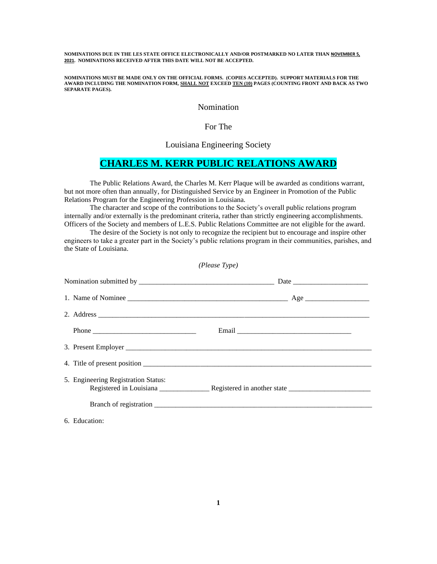**NOMINATIONS DUE IN THE LES STATE OFFICE ELECTRONICALLY AND/OR POSTMARKED NO LATER THAN NOVEMBER 5, 2021. NOMINATIONS RECEIVED AFTER THIS DATE WILL NOT BE ACCEPTED.**

**NOMINATIONS MUST BE MADE ONLY ON THE OFFICIAL FORMS. (COPIES ACCEPTED). SUPPORT MATERIALS FOR THE AWARD INCLUDING THE NOMINATION FORM, SHALL NOT EXCEED TEN (10) PAGES (COUNTING FRONT AND BACK AS TWO SEPARATE PAGES).**

Nomination

For The

Louisiana Engineering Society

## **CHARLES M. KERR PUBLIC RELATIONS AWARD**

The Public Relations Award, the Charles M. Kerr Plaque will be awarded as conditions warrant, but not more often than annually, for Distinguished Service by an Engineer in Promotion of the Public Relations Program for the Engineering Profession in Louisiana.

The character and scope of the contributions to the Society's overall public relations program internally and/or externally is the predominant criteria, rather than strictly engineering accomplishments. Officers of the Society and members of L.E.S. Public Relations Committee are not eligible for the award.

The desire of the Society is not only to recognize the recipient but to encourage and inspire other engineers to take a greater part in the Society's public relations program in their communities, parishes, and the State of Louisiana.

| (Please Type)                       |  |  |
|-------------------------------------|--|--|
|                                     |  |  |
|                                     |  |  |
|                                     |  |  |
|                                     |  |  |
|                                     |  |  |
|                                     |  |  |
| 5. Engineering Registration Status: |  |  |
|                                     |  |  |
| 6. Education:                       |  |  |